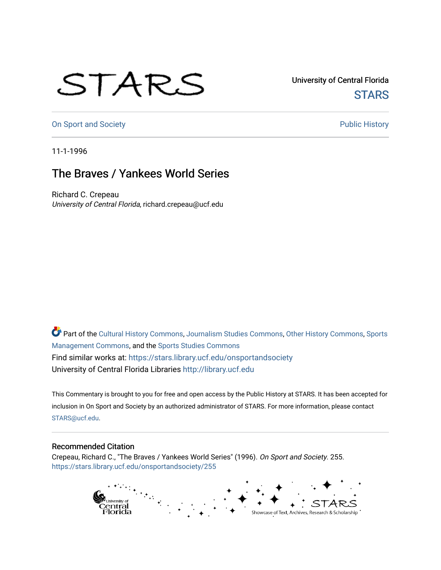## STARS

University of Central Florida **STARS** 

[On Sport and Society](https://stars.library.ucf.edu/onsportandsociety) **Public History** Public History

11-1-1996

## The Braves / Yankees World Series

Richard C. Crepeau University of Central Florida, richard.crepeau@ucf.edu

Part of the [Cultural History Commons](http://network.bepress.com/hgg/discipline/496?utm_source=stars.library.ucf.edu%2Fonsportandsociety%2F255&utm_medium=PDF&utm_campaign=PDFCoverPages), [Journalism Studies Commons,](http://network.bepress.com/hgg/discipline/333?utm_source=stars.library.ucf.edu%2Fonsportandsociety%2F255&utm_medium=PDF&utm_campaign=PDFCoverPages) [Other History Commons,](http://network.bepress.com/hgg/discipline/508?utm_source=stars.library.ucf.edu%2Fonsportandsociety%2F255&utm_medium=PDF&utm_campaign=PDFCoverPages) [Sports](http://network.bepress.com/hgg/discipline/1193?utm_source=stars.library.ucf.edu%2Fonsportandsociety%2F255&utm_medium=PDF&utm_campaign=PDFCoverPages) [Management Commons](http://network.bepress.com/hgg/discipline/1193?utm_source=stars.library.ucf.edu%2Fonsportandsociety%2F255&utm_medium=PDF&utm_campaign=PDFCoverPages), and the [Sports Studies Commons](http://network.bepress.com/hgg/discipline/1198?utm_source=stars.library.ucf.edu%2Fonsportandsociety%2F255&utm_medium=PDF&utm_campaign=PDFCoverPages) Find similar works at: <https://stars.library.ucf.edu/onsportandsociety> University of Central Florida Libraries [http://library.ucf.edu](http://library.ucf.edu/) 

This Commentary is brought to you for free and open access by the Public History at STARS. It has been accepted for inclusion in On Sport and Society by an authorized administrator of STARS. For more information, please contact [STARS@ucf.edu](mailto:STARS@ucf.edu).

## Recommended Citation

Crepeau, Richard C., "The Braves / Yankees World Series" (1996). On Sport and Society. 255. [https://stars.library.ucf.edu/onsportandsociety/255](https://stars.library.ucf.edu/onsportandsociety/255?utm_source=stars.library.ucf.edu%2Fonsportandsociety%2F255&utm_medium=PDF&utm_campaign=PDFCoverPages)

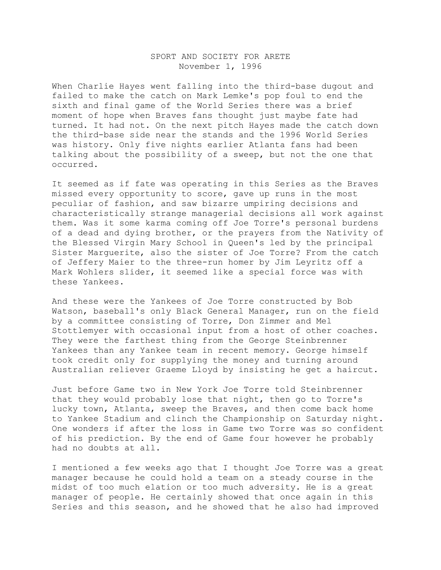## SPORT AND SOCIETY FOR ARETE November 1, 1996

When Charlie Hayes went falling into the third-base dugout and failed to make the catch on Mark Lemke's pop foul to end the sixth and final game of the World Series there was a brief moment of hope when Braves fans thought just maybe fate had turned. It had not. On the next pitch Hayes made the catch down the third-base side near the stands and the 1996 World Series was history. Only five nights earlier Atlanta fans had been talking about the possibility of a sweep, but not the one that occurred.

It seemed as if fate was operating in this Series as the Braves missed every opportunity to score, gave up runs in the most peculiar of fashion, and saw bizarre umpiring decisions and characteristically strange managerial decisions all work against them. Was it some karma coming off Joe Torre's personal burdens of a dead and dying brother, or the prayers from the Nativity of the Blessed Virgin Mary School in Queen's led by the principal Sister Marguerite, also the sister of Joe Torre? From the catch of Jeffery Maier to the three-run homer by Jim Leyritz off a Mark Wohlers slider, it seemed like a special force was with these Yankees.

And these were the Yankees of Joe Torre constructed by Bob Watson, baseball's only Black General Manager, run on the field by a committee consisting of Torre, Don Zimmer and Mel Stottlemyer with occasional input from a host of other coaches. They were the farthest thing from the George Steinbrenner Yankees than any Yankee team in recent memory. George himself took credit only for supplying the money and turning around Australian reliever Graeme Lloyd by insisting he get a haircut.

Just before Game two in New York Joe Torre told Steinbrenner that they would probably lose that night, then go to Torre's lucky town, Atlanta, sweep the Braves, and then come back home to Yankee Stadium and clinch the Championship on Saturday night. One wonders if after the loss in Game two Torre was so confident of his prediction. By the end of Game four however he probably had no doubts at all.

I mentioned a few weeks ago that I thought Joe Torre was a great manager because he could hold a team on a steady course in the midst of too much elation or too much adversity. He is a great manager of people. He certainly showed that once again in this Series and this season, and he showed that he also had improved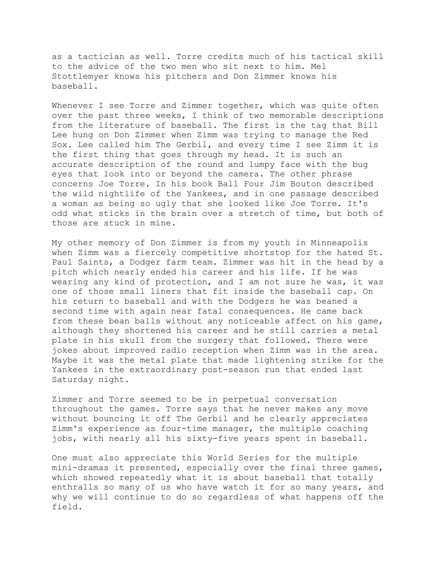as a tactician as well. Torre credits much of his tactical skill to the advice of the two men who sit next to him. Mel Stottlemyer knows his pitchers and Don Zimmer knows his baseball.

Whenever I see Torre and Zimmer together, which was quite often over the past three weeks, I think of two memorable descriptions from the literature of baseball. The first is the tag that Bill Lee hung on Don Zimmer when Zimm was trying to manage the Red Sox. Lee called him The Gerbil, and every time I see Zimm it is the first thing that goes through my head. It is such an accurate description of the round and lumpy face with the bug eyes that look into or beyond the camera. The other phrase concerns Joe Torre. In his book Ball Four Jim Bouton described the wild nightlife of the Yankees, and in one passage described a woman as being so ugly that she looked like Joe Torre. It's odd what sticks in the brain over a stretch of time, but both of those are stuck in mine.

My other memory of Don Zimmer is from my youth in Minneapolis when Zimm was a fiercely competitive shortstop for the hated St. Paul Saints, a Dodger farm team. Zimmer was hit in the head by a pitch which nearly ended his career and his life. If he was wearing any kind of protection, and I am not sure he was, it was one of those small liners that fit inside the baseball cap. On his return to baseball and with the Dodgers he was beaned a second time with again near fatal consequences. He came back from these bean balls without any noticeable affect on his game, although they shortened his career and he still carries a metal plate in his skull from the surgery that followed. There were jokes about improved radio reception when Zimm was in the area. Maybe it was the metal plate that made lightening strike for the Yankees in the extraordinary post-season run that ended last Saturday night.

Zimmer and Torre seemed to be in perpetual conversation throughout the games. Torre says that he never makes any move without bouncing it off The Gerbil and he clearly appreciates Zimm's experience as four-time manager, the multiple coaching jobs, with nearly all his sixty-five years spent in baseball.

One must also appreciate this World Series for the multiple mini-dramas it presented, especially over the final three games, which showed repeatedly what it is about baseball that totally enthralls so many of us who have watch it for so many years, and why we will continue to do so regardless of what happens off the field.